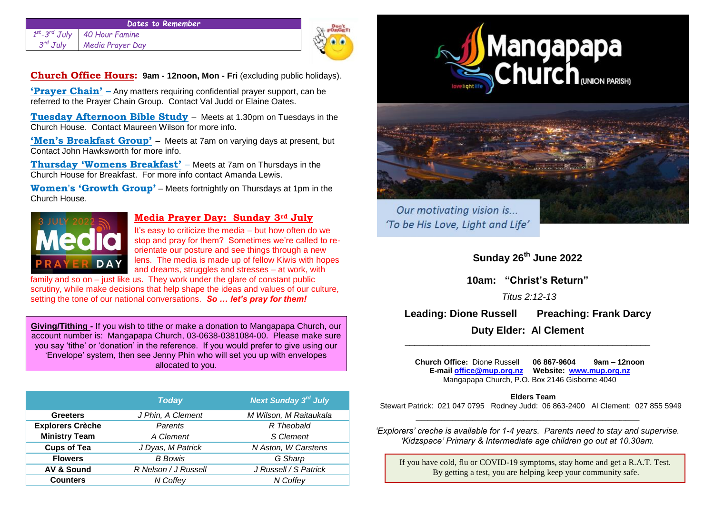#### *Dates to Remember 1 st -3 40 Hour Famine*  $3^{rd}$   $J$ ulv *Media Prayer Day*



**Church Office Hours: 9am - 12noon, Mon - Fri** (excluding public holidays).

**'Prayer Chain' –** Any matters requiring confidential prayer support, can be referred to the Prayer Chain Group. Contact Val Judd or Elaine Oates.

**Tuesday Afternoon Bible Study** – Meets at 1.30pm on Tuesdays in the Church House. Contact Maureen Wilson for more info.

**'Men's Breakfast Group'** – Meets at 7am on varying days at present, but Contact John Hawksworth for more info.

**Thursday 'Womens Breakfast'** – Meets at 7am on Thursdays in the Church House for Breakfast. For more info contact Amanda Lewis.

**Women's 'Growth Group'** – Meets fortnightly on Thursdays at 1pm in the Church House.



# **Media Prayer Day: Sunday 3rd July**

It's easy to criticize the media – but how often do we stop and pray for them? Sometimes we're called to reorientate our posture and see things through a new lens. The media is made up of fellow Kiwis with hopes and dreams, struggles and stresses – at work, with

family and so on – just like us. They work under the glare of constant public scrutiny, while make decisions that help shape the ideas and values of our culture, setting the tone of our national conversations. *So … let's pray for them!*

**Giving/Tithing -** If you wish to tithe or make a donation to Mangapapa Church, our account number is: Mangapapa Church, 03-0638-0381084-00. Please make sure you say 'tithe' or 'donation' in the reference. If you would prefer to give using our 'Envelope' system, then see Jenny Phin who will set you up with envelopes allocated to you.

|                         | <b>Today</b>         | <b>Next Sunday 3rd July</b> |
|-------------------------|----------------------|-----------------------------|
| <b>Greeters</b>         | J Phin, A Clement    | M Wilson, M Raitaukala      |
| <b>Explorers Crèche</b> | Parents              | R Theobald                  |
| <b>Ministry Team</b>    | A Clement            | S Clement                   |
| <b>Cups of Tea</b>      | J Dyas, M Patrick    | N Aston, W Carstens         |
| <b>Flowers</b>          | <b>B</b> Bowis       | G Sharp                     |
| <b>AV &amp; Sound</b>   | R Nelson / J Russell | J Russell / S Patrick       |
| <b>Counters</b>         | N Coffev             | N Coffev                    |





Our motivating vision is... 'To be His Love, Light and Life'

**Sunday 26th June 2022**

**10am: "Christ's Return"**

*Titus 2:12-13*

**Leading: Dione Russell Preaching: Frank Darcy** 

**Duty Elder: Al Clement**  \_\_\_\_\_\_\_\_\_\_\_\_\_\_\_\_\_\_\_\_\_\_\_\_\_\_\_\_\_\_\_\_\_\_\_\_\_\_\_\_\_\_\_\_\_\_\_\_\_\_\_\_

 **Church Office:** Dione Russell **06 867-9604 9am – 12noon E-mail [office@mup.org.nz](mailto:office@mup.org.nz) Website: [www.mup.org.nz](http://www.mup.org.nz/)** Mangapapa Church, P.O. Box 2146 Gisborne 4040

## **Elders Team**

 Stewart Patrick: 021 047 0795 Rodney Judd: 06 863-2400 Al Clement: 027 855 5949 \_\_\_\_\_\_\_\_\_\_\_\_\_\_\_\_\_\_\_\_\_\_\_\_\_\_\_\_\_\_\_\_\_\_\_\_\_\_\_\_\_\_\_\_\_\_\_\_\_\_\_\_\_\_\_\_\_\_\_\_\_\_\_\_\_\_\_\_\_\_\_\_\_\_\_\_\_\_\_

*'Explorers' creche is available for 1-4 years. Parents need to stay and supervise. 'Kidzspace' Primary & Intermediate age children go out at 10.30am.*

If you have cold, flu or COVID-19 symptoms, stay home and get a R.A.T. Test. By getting a test, you are helping keep your community safe.